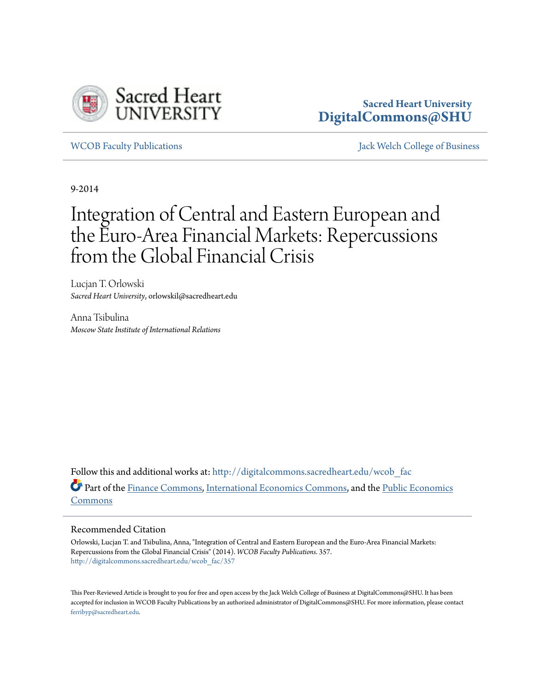

# **Sacred Heart University [DigitalCommons@SHU](http://digitalcommons.sacredheart.edu?utm_source=digitalcommons.sacredheart.edu%2Fwcob_fac%2F357&utm_medium=PDF&utm_campaign=PDFCoverPages)**

[WCOB Faculty Publications](http://digitalcommons.sacredheart.edu/wcob_fac?utm_source=digitalcommons.sacredheart.edu%2Fwcob_fac%2F357&utm_medium=PDF&utm_campaign=PDFCoverPages) [Jack Welch College of Business](http://digitalcommons.sacredheart.edu/wcob?utm_source=digitalcommons.sacredheart.edu%2Fwcob_fac%2F357&utm_medium=PDF&utm_campaign=PDFCoverPages)

9-2014

# Integration of Central and Eastern European and the Euro-Area Financial Markets: Repercussions from the Global Financial Crisis

Lucjan T. Orlowski *Sacred Heart University*, orlowskil@sacredheart.edu

Anna Tsibulina *Moscow State Institute of International Relations*

Follow this and additional works at: [http://digitalcommons.sacredheart.edu/wcob\\_fac](http://digitalcommons.sacredheart.edu/wcob_fac?utm_source=digitalcommons.sacredheart.edu%2Fwcob_fac%2F357&utm_medium=PDF&utm_campaign=PDFCoverPages) Part of the [Finance Commons](http://network.bepress.com/hgg/discipline/345?utm_source=digitalcommons.sacredheart.edu%2Fwcob_fac%2F357&utm_medium=PDF&utm_campaign=PDFCoverPages), [International Economics Commons](http://network.bepress.com/hgg/discipline/348?utm_source=digitalcommons.sacredheart.edu%2Fwcob_fac%2F357&utm_medium=PDF&utm_campaign=PDFCoverPages), and the [Public Economics](http://network.bepress.com/hgg/discipline/351?utm_source=digitalcommons.sacredheart.edu%2Fwcob_fac%2F357&utm_medium=PDF&utm_campaign=PDFCoverPages) [Commons](http://network.bepress.com/hgg/discipline/351?utm_source=digitalcommons.sacredheart.edu%2Fwcob_fac%2F357&utm_medium=PDF&utm_campaign=PDFCoverPages)

## Recommended Citation

Orlowski, Lucjan T. and Tsibulina, Anna, "Integration of Central and Eastern European and the Euro-Area Financial Markets: Repercussions from the Global Financial Crisis" (2014). *WCOB Faculty Publications*. 357. [http://digitalcommons.sacredheart.edu/wcob\\_fac/357](http://digitalcommons.sacredheart.edu/wcob_fac/357?utm_source=digitalcommons.sacredheart.edu%2Fwcob_fac%2F357&utm_medium=PDF&utm_campaign=PDFCoverPages)

This Peer-Reviewed Article is brought to you for free and open access by the Jack Welch College of Business at DigitalCommons@SHU. It has been accepted for inclusion in WCOB Faculty Publications by an authorized administrator of DigitalCommons@SHU. For more information, please contact [ferribyp@sacredheart.edu](mailto:ferribyp@sacredheart.edu).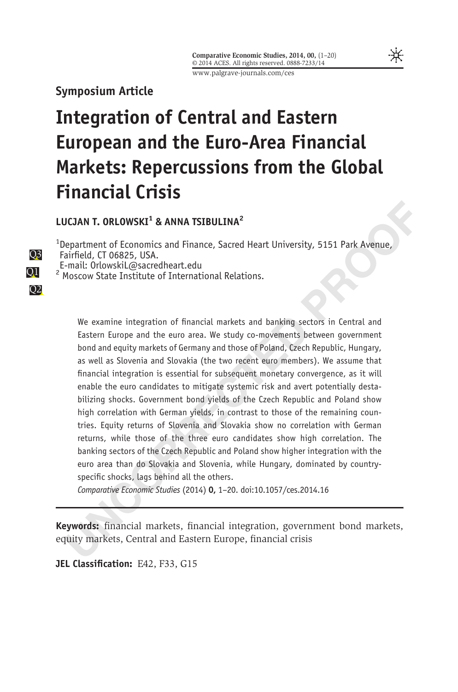₩

Symposium Article

# Integration of Central and Eastern European and the Euro-Area Financial Markets: Repercussions from the Global Financial Crisis

LUCJAN T. ORLOWSKI<sup>1</sup> & ANNA TSIBIII INA<sup>2</sup>

<sup>1</sup>Department of Economics and Finance, Sacred Heart University, 5151 Park Avenue, Fairfield, CT 06825, USA.

E-mail: OrlowskiL@sacredheart.edu

<sup>2</sup> Moscow State Institute of International Relations.

**UCIAN T. ORLOWSKI<sup>1</sup> & ANNA TSIBULINA<sup>2</sup><br>
expartment of Economics and Finance, Sacred Heart University, 5151 Park Avenue,**<br>
airfield, CT 06825, USA.<br>
mail: Orlowskil.@sacredheart.edu<br>
Moscow State Institute of Internation We examine integration of financial markets and banking sectors in Central and Eastern Europe and the euro area. We study co-movements between government bond and equity markets of Germany and those of Poland, Czech Republic, Hungary, as well as Slovenia and Slovakia (the two recent euro members). We assume that financial integration is essential for subsequent monetary convergence, as it will enable the euro candidates to mitigate systemic risk and avert potentially destabilizing shocks. Government bond yields of the Czech Republic and Poland show high correlation with German yields, in contrast to those of the remaining countries. Equity returns of Slovenia and Slovakia show no correlation with German returns, while those of the three euro candidates show high correlation. The banking sectors of the Czech Republic and Poland show higher integration with the euro area than do Slovakia and Slovenia, while Hungary, dominated by countryspecific shocks, lags behind all the others.

Comparative Economic Studies (2014) 0, 1–20. doi:10.1057/ces.2014.16

Keywords: financial markets, financial integration, government bond markets, equity markets, Central and Eastern Europe, financial crisis

JEL Classification: E42, F33, G15

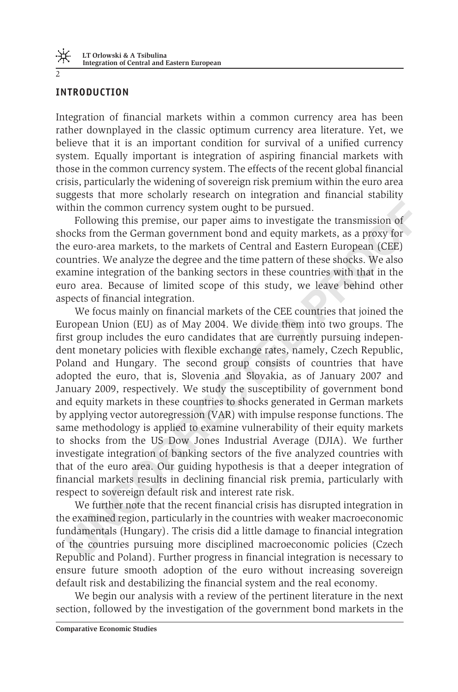## INTRODUCTION

Integration of financial markets within a common currency area has been rather downplayed in the classic optimum currency area literature. Yet, we believe that it is an important condition for survival of a unified currency system. Equally important is integration of aspiring financial markets with those in the common currency system. The effects of the recent global financial crisis, particularly the widening of sovereign risk premium within the euro area suggests that more scholarly research on integration and financial stability within the common currency system ought to be pursued.

Following this premise, our paper aims to investigate the transmission of shocks from the German government bond and equity markets, as a proxy for the euro-area markets, to the markets of Central and Eastern European (CEE) countries. We analyze the degree and the time pattern of these shocks. We also examine integration of the banking sectors in these countries with that in the euro area. Because of limited scope of this study, we leave behind other aspects of financial integration.

Following this premise, our paper aims to inevalidable measure following this premise, our paper aims to investigate the transmission of roles form the German government bond and equity markets, as a proxy for e euro-area We focus mainly on financial markets of the CEE countries that joined the European Union (EU) as of May 2004. We divide them into two groups. The first group includes the euro candidates that are currently pursuing independent monetary policies with flexible exchange rates, namely, Czech Republic, Poland and Hungary. The second group consists of countries that have adopted the euro, that is, Slovenia and Slovakia, as of January 2007 and January 2009, respectively. We study the susceptibility of government bond and equity markets in these countries to shocks generated in German markets by applying vector autoregression (VAR) with impulse response functions. The same methodology is applied to examine vulnerability of their equity markets to shocks from the US Dow Jones Industrial Average (DJIA). We further investigate integration of banking sectors of the five analyzed countries with that of the euro area. Our guiding hypothesis is that a deeper integration of financial markets results in declining financial risk premia, particularly with respect to sovereign default risk and interest rate risk.

We further note that the recent financial crisis has disrupted integration in the examined region, particularly in the countries with weaker macroeconomic fundamentals (Hungary). The crisis did a little damage to financial integration of the countries pursuing more disciplined macroeconomic policies (Czech Republic and Poland). Further progress in financial integration is necessary to ensure future smooth adoption of the euro without increasing sovereign default risk and destabilizing the financial system and the real economy.

We begin our analysis with a review of the pertinent literature in the next section, followed by the investigation of the government bond markets in the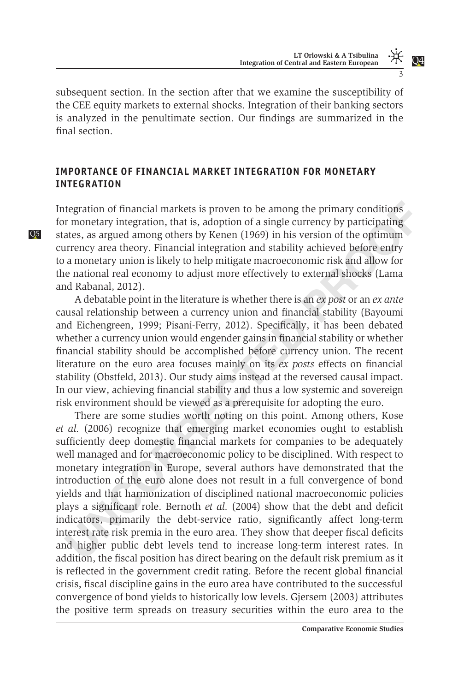subsequent section. In the section after that we examine the susceptibility of the CEE equity markets to external shocks. Integration of their banking sectors is analyzed in the penultimate section. Our findings are summarized in the final section.

#### IMPORTANCE OF FINANCIAL MARKET INTEGRATION FOR MONETARY INTEGRATION

Integration of financial markets is proven to be among the primary conditions for monetary integration, that is, adoption of a single currency by participating Q5 states, as argued among others by Kenen (1969) in his version of the optimum currency area theory. Financial integration and stability achieved before entry to a monetary union is likely to help mitigate macroeconomic risk and allow for the national real economy to adjust more effectively to external shocks (Lama [and Rabanal, 2012](#page-20-0)).

A debatable point in the literature is whether there is an ex post or an ex ante causal relationship between a currency union and financial stability (Bayoumi [and Eichengreen, 1999;](#page-19-0) Pisani-Ferry, 2012). Specifically, it has been debated whether a currency union would engender gains in financial stability or whether financial stability should be accomplished before currency union. The recent literature on the euro area focuses mainly on its ex posts effects on financial stability (Obstfeld, 2013). Our study aims instead at the reversed causal impact. In our view, achieving financial stability and thus a low systemic and sovereign risk environment should be viewed as a prerequisite for adopting the euro.

tegration of financial markets is proven to be among the primary conditions<br>
remonetary integration, that is, adoption of a single currency by participating<br>
areas, as argued among others by Kenen (1969) in his version of There are some studies worth noting on this point. Among others, Kose et al. (2006) recognize that emerging market economies ought to establish sufficiently deep domestic financial markets for companies to be adequately well managed and for macroeconomic policy to be disciplined. With respect to monetary integration in Europe, several authors have demonstrated that the introduction of the euro alone does not result in a full convergence of bond yields and that harmonization of disciplined national macroeconomic policies plays a significant role. Bernoth et al. (2004) show that the debt and deficit indicators, primarily the debt-service ratio, significantly affect long-term interest rate risk premia in the euro area. They show that deeper fiscal deficits and higher public debt levels tend to increase long-term interest rates. In addition, the fiscal position has direct bearing on the default risk premium as it is reflected in the government credit rating. Before the recent global financial crisis, fiscal discipline gains in the euro area have contributed to the successful convergence of bond yields to historically low levels. [Gjersem \(2003\)](#page-19-0) attributes the positive term spreads on treasury securities within the euro area to the

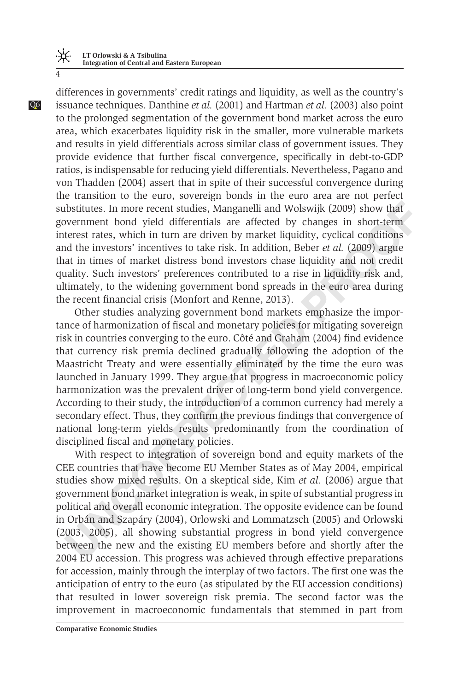differences in governments' credit ratings and liquidity, as well as the country's Q6 issuance techniques. [Danthine](#page-19-0) et al. (2001) and Hartman et al. (2003) also point to the prolonged segmentation of the government bond market across the euro area, which exacerbates liquidity risk in the smaller, more vulnerable markets and results in yield differentials across similar class of government issues. They provide evidence that further fiscal convergence, specifically in debt-to-GDP ratios, is indispensable for reducing yield differentials. Nevertheless, [Pagano and](#page-20-0) [von Thadden \(2004\)](#page-20-0) assert that in spite of their successful convergence during the transition to the euro, sovereign bonds in the euro area are not perfect substitutes. In more recent studies, Manganelli and Wolswijk (2009) show that government bond yield differentials are affected by changes in short-term interest rates, which in turn are driven by market liquidity, cyclical conditions and the investors' incentives to take risk. In addition, Beber et al. (2009) argue that in times of market distress bond investors chase liquidity and not credit quality. Such investors' preferences contributed to a rise in liquidity risk and, ultimately, to the widening government bond spreads in the euro area during the recent financial crisis (Monfort and Renne, 2013).

bstitutes. In more recent studies, Manganelli and Wolswijk (2009) show that<br>vermment bond yield differentials are affected by changes in short-term<br>treest rates, which in turn are driven by market liquidity, cyclical condi Other studies analyzing government bond markets emphasize the importance of harmonization of fiscal and monetary policies for mitigating sovereign risk in countries converging to the euro. Côté and Graham (2004) find evidence that currency risk premia declined gradually following the adoption of the Maastricht Treaty and were essentially eliminated by the time the euro was launched in January 1999. They argue that progress in macroeconomic policy harmonization was the prevalent driver of long-term bond yield convergence. According to their study, the introduction of a common currency had merely a secondary effect. Thus, they confirm the previous findings that convergence of national long-term yields results predominantly from the coordination of disciplined fiscal and monetary policies.

With respect to integration of sovereign bond and equity markets of the CEE countries that have become EU Member States as of May 2004, empirical studies show mixed results. On a skeptical side, Kim et al. (2006) argue that government bond market integration is weak, in spite of substantial progress in political and overall economic integration. The opposite evidence can be found in Orbán and Szapáry (2004), Orlowski and Lommatzsch (2005) and Orlowski [\(2003, 2005\)](#page-20-0), all showing substantial progress in bond yield convergence between the new and the existing EU members before and shortly after the 2004 EU accession. This progress was achieved through effective preparations for accession, mainly through the interplay of two factors. The first one was the anticipation of entry to the euro (as stipulated by the EU accession conditions) that resulted in lower sovereign risk premia. The second factor was the improvement in macroeconomic fundamentals that stemmed in part from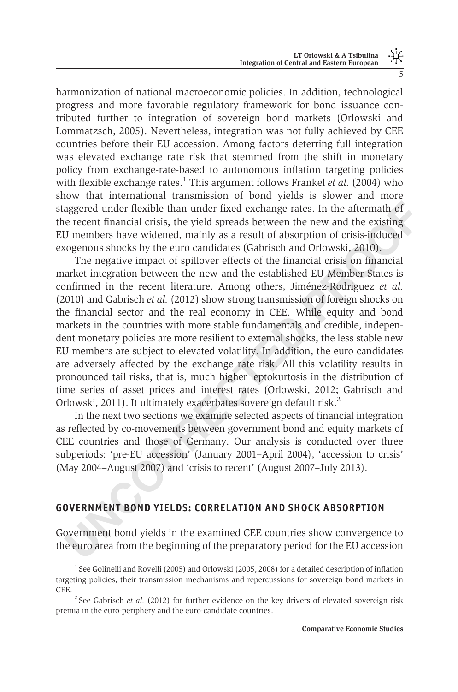harmonization of national macroeconomic policies. In addition, technological progress and more favorable regulatory framework for bond issuance contributed further to integration of sovereign bond markets [\(Orlowski and](#page-20-0) [Lommatzsch, 2005](#page-20-0)). Nevertheless, integration was not fully achieved by CEE countries before their EU accession. Among factors deterring full integration was elevated exchange rate risk that stemmed from the shift in monetary policy from exchange-rate-based to autonomous inflation targeting policies with flexible exchange rates.<sup>1</sup> This argument follows [Frankel](#page-19-0) *et al.* (2004) who show that international transmission of bond yields is slower and more staggered under flexible than under fixed exchange rates. In the aftermath of the recent financial crisis, the yield spreads between the new and the existing EU members have widened, mainly as a result of absorption of crisis-induced exogenous shocks by the euro candidates (Gabrisch and Orlowski, 2010).

aggered under flexible than under fixed exchange rates. In the aftermath of recent financial crissi, the yield spreads between the new and the existing OJ members have widened, mainly as a result of absorption of crisis-in The negative impact of spillover effects of the financial crisis on financial market integration between the new and the established EU Member States is confirmed in the recent literature. Among others, Jiménez-Rodriguez et al. [\(2010\)](#page-20-0) and Gabrisch et al. (2012) show strong transmission of foreign shocks on the financial sector and the real economy in CEE. While equity and bond markets in the countries with more stable fundamentals and credible, independent monetary policies are more resilient to external shocks, the less stable new EU members are subject to elevated volatility. In addition, the euro candidates are adversely affected by the exchange rate risk. All this volatility results in pronounced tail risks, that is, much higher leptokurtosis in the distribution of time series of asset prices and interest rates (Orlowski, 2012; Gabrisch and [Orlowski, 2011](#page-19-0)). It ultimately exacerbates sovereign default risk.<sup>2</sup>

In the next two sections we examine selected aspects of financial integration as reflected by co-movements between government bond and equity markets of CEE countries and those of Germany. Our analysis is conducted over three subperiods: 'pre-EU accession' (January 2001–April 2004), 'accession to crisis' (May 2004–August 2007) and 'crisis to recent' (August 2007–July 2013).

## GOVERNMENT BOND YIELDS: CORRELATION AND SHOCK ABSORPTION

Government bond yields in the examined CEE countries show convergence to the euro area from the beginning of the preparatory period for the EU accession

<sup>&</sup>lt;sup>1</sup> See [Golinelli and Rovelli \(2005\)](#page-19-0) and [Orlowski \(2005, 2008\)](#page-20-0) for a detailed description of inflation targeting policies, their transmission mechanisms and repercussions for sovereign bond markets in CEE.

<sup>&</sup>lt;sup>2</sup> See [Gabrisch](#page-19-0) et al. (2012) for further evidence on the key drivers of elevated sovereign risk premia in the euro-periphery and the euro-candidate countries.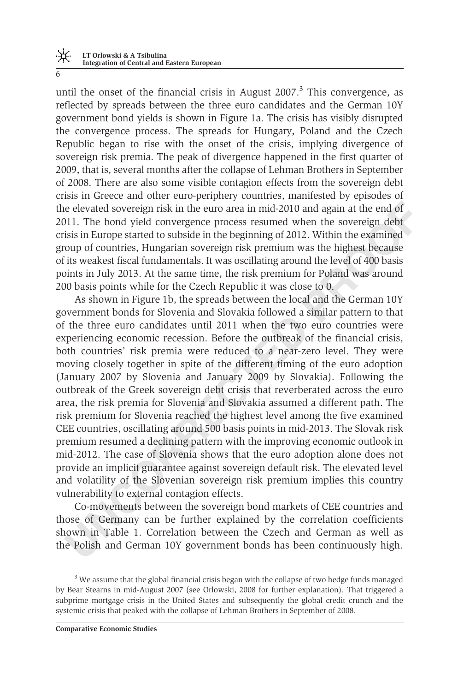until the onset of the financial crisis in August  $2007<sup>3</sup>$  This convergence, as reflected by spreads between the three euro candidates and the German 10Y government bond yields is shown in [Figure 1a](#page-7-0). The crisis has visibly disrupted the convergence process. The spreads for Hungary, Poland and the Czech Republic began to rise with the onset of the crisis, implying divergence of sovereign risk premia. The peak of divergence happened in the first quarter of 2009, that is, several months after the collapse of Lehman Brothers in September of 2008. There are also some visible contagion effects from the sovereign debt crisis in Greece and other euro-periphery countries, manifested by episodes of the elevated sovereign risk in the euro area in mid-2010 and again at the end of 2011. The bond yield convergence process resumed when the sovereign debt crisis in Europe started to subside in the beginning of 2012. Within the examined group of countries, Hungarian sovereign risk premium was the highest because of its weakest fiscal fundamentals. It was oscillating around the level of 400 basis points in July 2013. At the same time, the risk premium for Poland was around 200 basis points while for the Czech Republic it was close to 0.

**Example 1** and yelocal convergins in the euro area in mid-2010 and again at the end of 111. The bond yield convergence process resumed when the sovereign debt its is metapope started to subside in the beginning of 2012. W As shown in Figure 1b, the spreads between the local and the German 10Y government bonds for Slovenia and Slovakia followed a similar pattern to that of the three euro candidates until 2011 when the two euro countries were experiencing economic recession. Before the outbreak of the financial crisis, both countries' risk premia were reduced to a near-zero level. They were moving closely together in spite of the different timing of the euro adoption (January 2007 by Slovenia and January 2009 by Slovakia). Following the outbreak of the Greek sovereign debt crisis that reverberated across the euro area, the risk premia for Slovenia and Slovakia assumed a different path. The risk premium for Slovenia reached the highest level among the five examined CEE countries, oscillating around 500 basis points in mid-2013. The Slovak risk premium resumed a declining pattern with the improving economic outlook in mid-2012. The case of Slovenia shows that the euro adoption alone does not provide an implicit guarantee against sovereign default risk. The elevated level and volatility of the Slovenian sovereign risk premium implies this country vulnerability to external contagion effects.

Co-movements between the sovereign bond markets of CEE countries and those of Germany can be further explained by the correlation coefficients shown in Table 1. Correlation between the Czech and German as well as the Polish and German 10Y government bonds has been continuously high.

<sup>&</sup>lt;sup>3</sup> We assume that the global financial crisis began with the collapse of two hedge funds managed by Bear Stearns in mid-August 2007 (see [Orlowski, 2008](#page-20-0) for further explanation). That triggered a subprime mortgage crisis in the United States and subsequently the global credit crunch and the systemic crisis that peaked with the collapse of Lehman Brothers in September of 2008.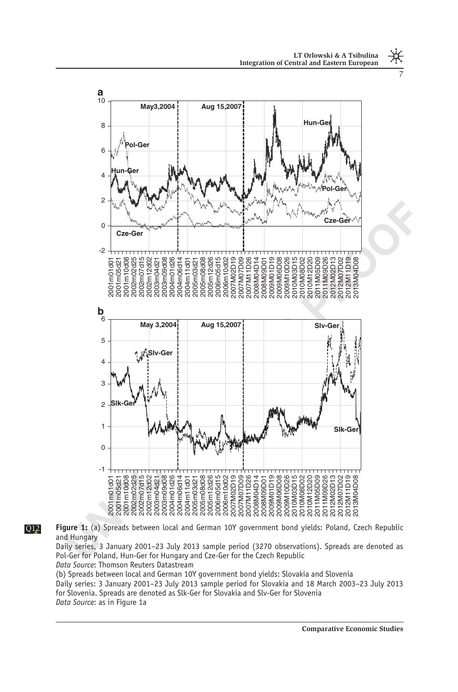<span id="page-7-0"></span>

Q12 Figure 1: (a) Spreads between local and German 10Y government bond yields: Poland, Czech Republic and Hungary

Daily series, 3 January 2001–23 July 2013 sample period (3270 observations). Spreads are denoted as Pol-Ger for Poland, Hun-Ger for Hungary and Cze-Ger for the Czech Republic

Data Source: Thomson Reuters Datastream

(b) Spreads between local and German 10Y government bond yields: Slovakia and Slovenia

Daily series: 3 January 2001–23 July 2013 sample period for Slovakia and 18 March 2003–23 July 2013 for Slovenia. Spreads are denoted as Slk-Ger for Slovakia and Slv-Ger for Slovenia Data Source: as in Figure 1a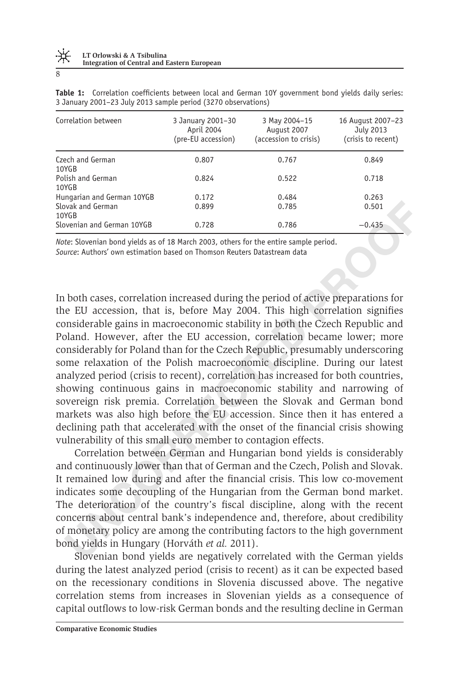| Correlation between        | 3 January 2001-30<br>April 2004<br>(pre-EU accession) | 3 May 2004-15<br>August 2007<br>(accession to crisis) | 16 August 2007-23<br>July 2013<br>(crisis to recent) |
|----------------------------|-------------------------------------------------------|-------------------------------------------------------|------------------------------------------------------|
| Czech and German<br>10YGB  | 0.807                                                 | 0.767                                                 | 0.849                                                |
| Polish and German<br>10YGB | 0.824                                                 | 0.522                                                 | 0.718                                                |
| Hungarian and German 10YGB | 0.172                                                 | 0.484                                                 | 0.263                                                |
| Slovak and German<br>10YGB | 0.899                                                 | 0.785                                                 | 0.501                                                |
| Slovenian and German 10YGB | 0.728                                                 | 0.786                                                 | $-0.435$                                             |

<span id="page-8-0"></span>Table 1: Correlation coefficients between local and German 10Y government bond yields daily series: 3 January 2001–23 July 2013 sample period (3270 observations)

Note: Slovenian bond yields as of 18 March 2003, others for the entire sample period.

Source: Authors' own estimation based on Thomson Reuters Datastream data

Visia and German<br>
USB Constant Constant Constant Constant Constant Constant Constant Constant Constant Constant Constant Constant Constant Constant Constant Constant Constant Constant Constant Constant Constant Constant Co In both cases, correlation increased during the period of active preparations for the EU accession, that is, before May 2004. This high correlation signifies considerable gains in macroeconomic stability in both the Czech Republic and Poland. However, after the EU accession, correlation became lower; more considerably for Poland than for the Czech Republic, presumably underscoring some relaxation of the Polish macroeconomic discipline. During our latest analyzed period (crisis to recent), correlation has increased for both countries, showing continuous gains in macroeconomic stability and narrowing of sovereign risk premia. Correlation between the Slovak and German bond markets was also high before the EU accession. Since then it has entered a declining path that accelerated with the onset of the financial crisis showing vulnerability of this small euro member to contagion effects.

Correlation between German and Hungarian bond yields is considerably and continuously lower than that of German and the Czech, Polish and Slovak. It remained low during and after the financial crisis. This low co-movement indicates some decoupling of the Hungarian from the German bond market. The deterioration of the country's fiscal discipline, along with the recent concerns about central bank's independence and, therefore, about credibility of monetary policy are among the contributing factors to the high government bond yields in Hungary (Horváth et al. 2011).

Slovenian bond yields are negatively correlated with the German yields during the latest analyzed period (crisis to recent) as it can be expected based on the recessionary conditions in Slovenia discussed above. The negative correlation stems from increases in Slovenian yields as a consequence of capital outflows to low-risk German bonds and the resulting decline in German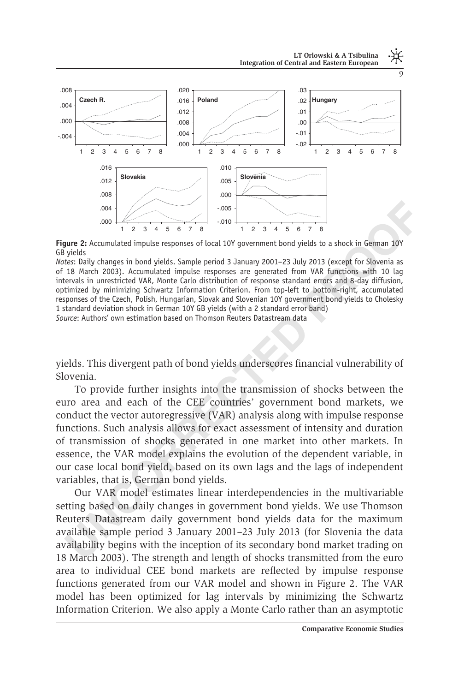LT Orlowski & A Tsibulina Integration of Central and Eastern European

<span id="page-9-0"></span>

Figure 2: Accumulated impulse responses of local 10Y government bond yields to a shock in German 10Y GB yields

Notes: Daily changes in bond yields. Sample period 3 January 2001–23 July 2013 (except for Slovenia as of 18 March 2003). Accumulated impulse responses are generated from VAR functions with 10 lag intervals in unrestricted VAR, Monte Carlo distribution of response standard errors and 8-day diffusion, optimized by minimizing Schwartz Information Criterion. From top-left to bottom-right, accumulated responses of the Czech, Polish, Hungarian, Slovak and Slovenian 10Y government bond yields to Cholesky 1 standard deviation shock in German 10Y GB yields (with a 2 standard error band)

Source: Authors' own estimation based on Thomson Reuters Datastream data

yields. This divergent path of bond yields underscores financial vulnerability of Slovenia.

**1982**<br> **Example 12:**  $\frac{1}{2}$  3 4 5 6 7 8<br> **ISON 12:**  $\frac{1}{2}$  3 4 5 6 7 8<br> **ISON 12:**  $\frac{1}{2}$  3 4 5 6 7 8<br> **ISON changes in bond yields** to a shock in German 10Y<br> **ISON changes in bond yields** to a shock in German 18 To provide further insights into the transmission of shocks between the euro area and each of the CEE countries' government bond markets, we conduct the vector autoregressive (VAR) analysis along with impulse response functions. Such analysis allows for exact assessment of intensity and duration of transmission of shocks generated in one market into other markets. In essence, the VAR model explains the evolution of the dependent variable, in our case local bond yield, based on its own lags and the lags of independent variables, that is, German bond yields.

Our VAR model estimates linear interdependencies in the multivariable setting based on daily changes in government bond yields. We use Thomson Reuters Datastream daily government bond yields data for the maximum available sample period 3 January 2001–23 July 2013 (for Slovenia the data availability begins with the inception of its secondary bond market trading on 18 March 2003). The strength and length of shocks transmitted from the euro area to individual CEE bond markets are reflected by impulse response functions generated from our VAR model and shown in Figure 2. The VAR model has been optimized for lag intervals by minimizing the Schwartz Information Criterion. We also apply a Monte Carlo rather than an asymptotic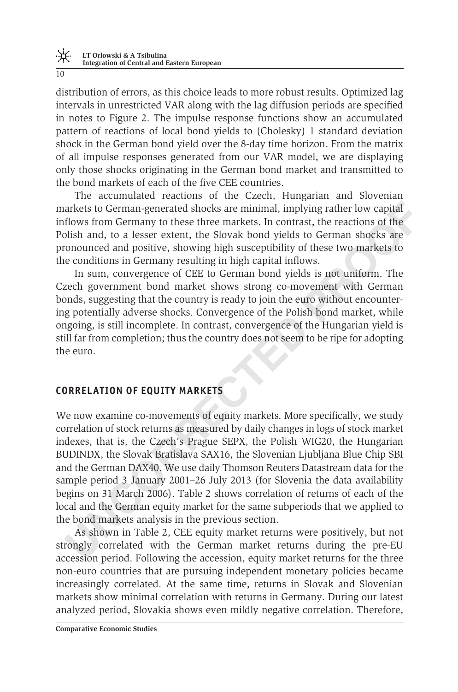distribution of errors, as this choice leads to more robust results. Optimized lag intervals in unrestricted VAR along with the lag diffusion periods are specified in notes to [Figure 2](#page-9-0). The impulse response functions show an accumulated pattern of reactions of local bond yields to (Cholesky) 1 standard deviation shock in the German bond yield over the 8-day time horizon. From the matrix of all impulse responses generated from our VAR model, we are displaying only those shocks originating in the German bond market and transmitted to the bond markets of each of the five CEE countries.

The accumulated reactions of the Czech, Hungarian and Slovenian markets to German-generated shocks are minimal, implying rather low capital inflows from Germany to these three markets. In contrast, the reactions of the Polish and, to a lesser extent, the Slovak bond yields to German shocks are pronounced and positive, showing high susceptibility of these two markets to the conditions in Germany resulting in high capital inflows.

In sum, convergence of CEE to German bond yields is not uniform. The Czech government bond market shows strong co-movement with German bonds, suggesting that the country is ready to join the euro without encountering potentially adverse shocks. Convergence of the Polish bond market, while ongoing, is still incomplete. In contrast, convergence of the Hungarian yield is still far from completion; thus the country does not seem to be ripe for adopting the euro.

## CORRELATION OF EQUITY MARKETS

arkets to German-generated shocks are minimal, implying rather low capital<br>flows from Germany to these three markets. In contrast, the reactions of the<br>floidsh and, to a lesser extent, the Blovak bond yields to German shoc We now examine co-movements of equity markets. More specifically, we study correlation of stock returns as measured by daily changes in logs of stock market indexes, that is, the Czech's Prague SEPX, the Polish WIG20, the Hungarian BUDINDX, the Slovak Bratislava SAX16, the Slovenian Ljubljana Blue Chip SBI and the German DAX40. We use daily Thomson Reuters Datastream data for the sample period 3 January 2001–26 July 2013 (for Slovenia the data availability begins on 31 March 2006). Table 2 shows correlation of returns of each of the local and the German equity market for the same subperiods that we applied to the bond markets analysis in the previous section.

As shown in Table 2, CEE equity market returns were positively, but not strongly correlated with the German market returns during the pre-EU accession period. Following the accession, equity market returns for the three non-euro countries that are pursuing independent monetary policies became increasingly correlated. At the same time, returns in Slovak and Slovenian markets show minimal correlation with returns in Germany. During our latest analyzed period, Slovakia shows even mildly negative correlation. Therefore,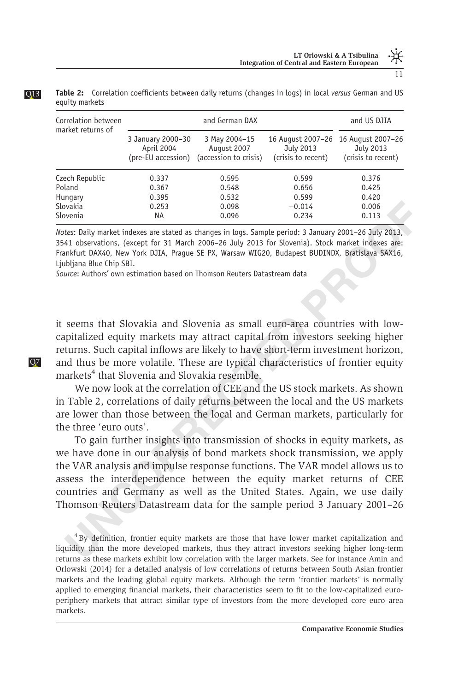| Correlation between<br>market returns of |                                                       | and US DJIA                                           |                                                      |                                                      |  |  |
|------------------------------------------|-------------------------------------------------------|-------------------------------------------------------|------------------------------------------------------|------------------------------------------------------|--|--|
|                                          | 3 January 2000-30<br>April 2004<br>(pre-EU accession) | 3 May 2004-15<br>August 2007<br>(accession to crisis) | 16 August 2007-26<br>July 2013<br>(crisis to recent) | 16 August 2007-26<br>July 2013<br>(crisis to recent) |  |  |
| Czech Republic                           | 0.337                                                 | 0.595                                                 | 0.599                                                | 0.376                                                |  |  |
| Poland                                   | 0.367                                                 | 0.548                                                 | 0.656                                                | 0.425                                                |  |  |
| Hungary                                  | 0.395                                                 | 0.532                                                 | 0.599                                                | 0.420                                                |  |  |
| Slovakia                                 | 0.253                                                 | 0.098                                                 | $-0.014$                                             | 0.006                                                |  |  |
| Slovenia                                 | ΝA                                                    | 0.096                                                 | 0.234                                                | 0.113                                                |  |  |

<span id="page-11-0"></span>**Q13** Table 2: Correlation coefficients between daily returns (changes in logs) in local versus German and US equity markets

Notes: Daily market indexes are stated as changes in logs. Sample period: 3 January 2001–26 July 2013, 3541 observations, (except for 31 March 2006–26 July 2013 for Slovenia). Stock market indexes are: Frankfurt DAX40, New York DJIA, Prague SE PX, Warsaw WIG20, Budapest BUDINDX, Bratislava SAX16, Ljubljana Blue Chip SBI.

Source: Authors' own estimation based on Thomson Reuters Datastream data

it seems that Slovakia and Slovenia as small euro-area countries with lowcapitalized equity markets may attract capital from investors seeking higher returns. Such capital inflows are likely to have short-term investment horizon, Q7 and thus be more volatile. These are typical characteristics of frontier equity markets<sup>4</sup> that Slovenia and Slovakia resemble.

We now look at the correlation of CEE and the US stock markets. As shown in Table 2, correlations of daily returns between the local and the US markets are lower than those between the local and German markets, particularly for the three 'euro outs'.

ovalia<br>
venia 0.253 0.098 -0.014<br>
venia 1825<br>
tes: Daily market indexes are stated as changes in logs. Sample period: 3 January 2001–26 July 2013,<br>
41 bosevations, (sevent fro 31 March 2006–26 July 2013 or Sloven km/ket in To gain further insights into transmission of shocks in equity markets, as we have done in our analysis of bond markets shock transmission, we apply the VAR analysis and impulse response functions. The VAR model allows us to assess the interdependence between the equity market returns of CEE countries and Germany as well as the United States. Again, we use daily Thomson Reuters Datastream data for the sample period 3 January 2001–26

<sup>4</sup> By definition, frontier equity markets are those that have lower market capitalization and liquidity than the more developed markets, thus they attract investors seeking higher long-term returns as these markets exhibit low correlation with the larger markets. See for instance [Amin and](#page-19-0) [Orlowski \(2014\)](#page-19-0) for a detailed analysis of low correlations of returns between South Asian frontier markets and the leading global equity markets. Although the term 'frontier markets' is normally applied to emerging financial markets, their characteristics seem to fit to the low-capitalized europeriphery markets that attract similar type of investors from the more developed core euro area markets.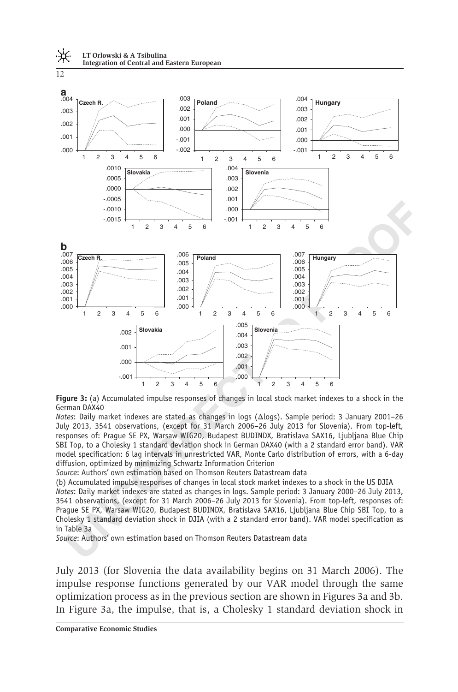<span id="page-12-0"></span>

Figure 3: (a) Accumulated impulse responses of changes in local stock market indexes to a shock in the German DAX40

Notes: Daily market indexes are stated as changes in logs (Δlogs). Sample period: 3 January 2001–26 July 2013, 3541 observations, (except for 31 March 2006–26 July 2013 for Slovenia). From top-left, responses of: Prague SE PX, Warsaw WIG20, Budapest BUDINDX, Bratislava SAX16, Ljubljana Blue Chip SBI Top, to a Cholesky 1 standard deviation shock in German DAX40 (with a 2 standard error band). VAR model specification: 6 lag intervals in unrestricted VAR, Monte Carlo distribution of errors, with a 6-day diffusion, optimized by minimizing Schwartz Information Criterion

Source: Authors' own estimation based on Thomson Reuters Datastream data

(b) Accumulated impulse responses of changes in local stock market indexes to a shock in the US DJIA

Notes: Daily market indexes are stated as changes in logs. Sample period: 3 January 2000–26 July 2013, 3541 observations, (except for 31 March 2006–26 July 2013 for Slovenia). From top-left, responses of: Prague SE PX, Warsaw WIG20, Budapest BUDINDX, Bratislava SAX16, Ljubljana Blue Chip SBI Top, to a Cholesky 1 standard deviation shock in DJIA (with a 2 standard error band). VAR model specification as in Table 3a

Source: Authors' own estimation based on Thomson Reuters Datastream data

July 2013 (for Slovenia the data availability begins on 31 March 2006). The impulse response functions generated by our VAR model through the same optimization process as in the previous section are shown in Figures 3a and 3b. In Figure 3a, the impulse, that is, a Cholesky 1 standard deviation shock in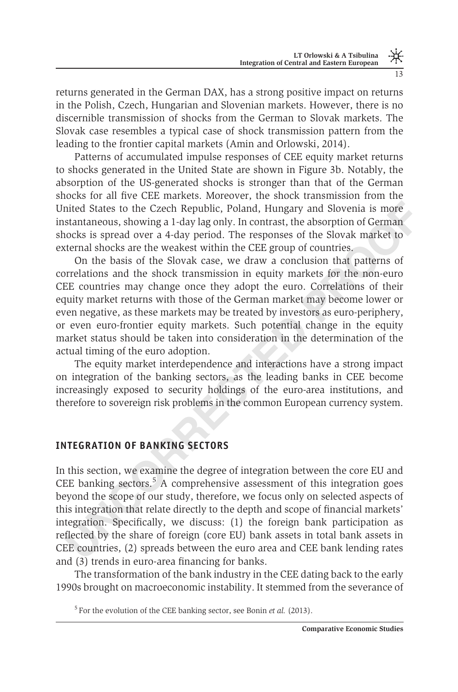returns generated in the German DAX, has a strong positive impact on returns in the Polish, Czech, Hungarian and Slovenian markets. However, there is no discernible transmission of shocks from the German to Slovak markets. The Slovak case resembles a typical case of shock transmission pattern from the leading to the frontier capital markets [\(Amin and Orlowski, 2014\)](#page-19-0).

Patterns of accumulated impulse responses of CEE equity market returns to shocks generated in the United State are shown in [Figure 3b.](#page-12-0) Notably, the absorption of the US-generated shocks is stronger than that of the German shocks for all five CEE markets. Moreover, the shock transmission from the United States to the Czech Republic, Poland, Hungary and Slovenia is more instantaneous, showing a 1-day lag only. In contrast, the absorption of German shocks is spread over a 4-day period. The responses of the Slovak market to external shocks are the weakest within the CEE group of countries.

nited States to the Czech Republic, Poland, Hungary and Slovenia is more stantaneous, showing a 1-day lag only. In contrast, the absorption of German states is gread over a 4-day period. The responses of the Slovak market On the basis of the Slovak case, we draw a conclusion that patterns of correlations and the shock transmission in equity markets for the non-euro CEE countries may change once they adopt the euro. Correlations of their equity market returns with those of the German market may become lower or even negative, as these markets may be treated by investors as euro-periphery, or even euro-frontier equity markets. Such potential change in the equity market status should be taken into consideration in the determination of the actual timing of the euro adoption.

The equity market interdependence and interactions have a strong impact on integration of the banking sectors, as the leading banks in CEE become increasingly exposed to security holdings of the euro-area institutions, and therefore to sovereign risk problems in the common European currency system.

## INTEGRATION OF BANKING SECTORS

In this section, we examine the degree of integration between the core EU and CEE banking sectors.<sup>5</sup> A comprehensive assessment of this integration goes beyond the scope of our study, therefore, we focus only on selected aspects of this integration that relate directly to the depth and scope of financial markets' integration. Specifically, we discuss: (1) the foreign bank participation as reflected by the share of foreign (core EU) bank assets in total bank assets in CEE countries, (2) spreads between the euro area and CEE bank lending rates and (3) trends in euro-area financing for banks.

The transformation of the bank industry in the CEE dating back to the early 1990s brought on macroeconomic instability. It stemmed from the severance of

 $<sup>5</sup>$  For the evolution of the CEE banking sector, see Bonin *et al.* [\(2013\)](#page-19-0).</sup>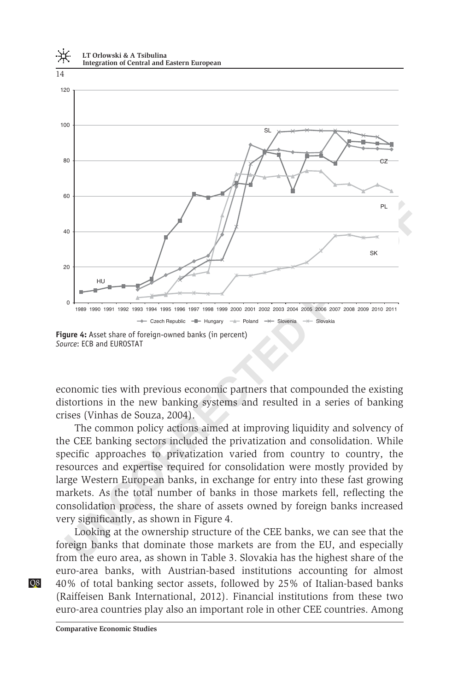



economic ties with previous economic partners that compounded the existing distortions in the new banking systems and resulted in a series of banking crises (Vinhas de Souza, 2004).

The common policy actions aimed at improving liquidity and solvency of the CEE banking sectors included the privatization and consolidation. While specific approaches to privatization varied from country to country, the resources and expertise required for consolidation were mostly provided by large Western European banks, in exchange for entry into these fast growing markets. As the total number of banks in those markets fell, reflecting the consolidation process, the share of assets owned by foreign banks increased very significantly, as shown in Figure 4.

Looking at the ownership structure of the CEE banks, we can see that the foreign banks that dominate those markets are from the EU, and especially from the euro area, as shown in [Table 3.](#page-15-0) Slovakia has the highest share of the euro-area banks, with Austrian-based institutions accounting for almost Q8 40% of total banking sector assets, followed by 25% of Italian-based banks ([Raiffeisen Bank International, 2012](#page-20-0)). Financial institutions from these two euro-area countries play also an important role in other CEE countries. Among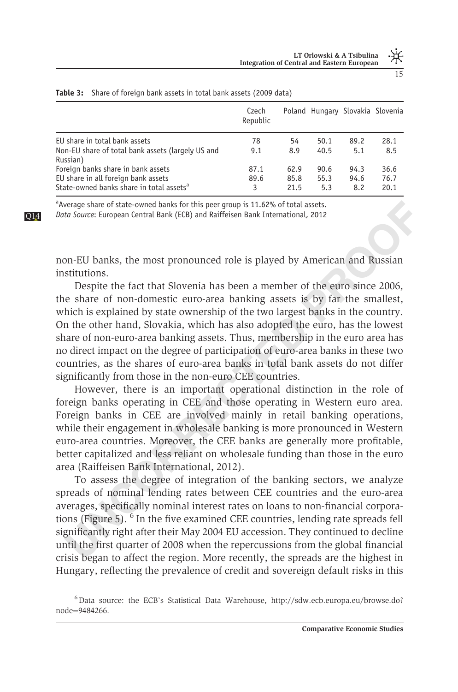|  | ۰           |
|--|-------------|
|  |             |
|  | I<br>$\sim$ |
|  |             |

|                                                                                             | Czech<br>Republic |              | Poland Hungary Slovakia Slovenia |             |              |
|---------------------------------------------------------------------------------------------|-------------------|--------------|----------------------------------|-------------|--------------|
| EU share in total bank assets                                                               | 78                | 54           | 50.1                             | 89.2        | 28.1         |
| Non-EU share of total bank assets (largely US and<br>Russian)                               | 9.1               | 8.9          | 40.5                             | 5.1         | 8.5          |
| Foreign banks share in bank assets                                                          | 87.1              | 62.9         | 90.6                             | 94.3        | 36.6         |
| EU share in all foreign bank assets<br>State-owned banks share in total assets <sup>a</sup> | 89.6<br>3         | 85.8<br>21.5 | 55.3<br>5.3                      | 94.6<br>8.2 | 76.7<br>20.1 |

<span id="page-15-0"></span>

|  | Table 3: Share of foreign bank assets in total bank assets (2009 data) |  |  |
|--|------------------------------------------------------------------------|--|--|
|--|------------------------------------------------------------------------|--|--|

<sup>a</sup> Average share of state-owned banks for this peer group is 11.62% of total assets. Q14 Data Source: European Central Bank (ECB) and Raiffeisen Bank International, 2012

non-EU banks, the most pronounced role is played by American and Russian institutions.

werage share of state-owned banks for this peer group is 11.62% of total assets.<br> *Un Source*: European Central Bank (ECB) and Raiffeisen Bank International, 2012<br>
DD-EU banks, the most pronounced role is played by America Despite the fact that Slovenia has been a member of the euro since 2006, the share of non-domestic euro-area banking assets is by far the smallest, which is explained by state ownership of the two largest banks in the country. On the other hand, Slovakia, which has also adopted the euro, has the lowest share of non-euro-area banking assets. Thus, membership in the euro area has no direct impact on the degree of participation of euro-area banks in these two countries, as the shares of euro-area banks in total bank assets do not differ significantly from those in the non-euro CEE countries.

However, there is an important operational distinction in the role of foreign banks operating in CEE and those operating in Western euro area. Foreign banks in CEE are involved mainly in retail banking operations, while their engagement in wholesale banking is more pronounced in Western euro-area countries. Moreover, the CEE banks are generally more profitable, better capitalized and less reliant on wholesale funding than those in the euro area (Raiffeisen Bank International, 2012).

To assess the degree of integration of the banking sectors, we analyze spreads of nominal lending rates between CEE countries and the euro-area averages, specifically nominal interest rates on loans to non-financial corporations (Figure 5).  $\delta$  In the five examined CEE countries, lending rate spreads fell significantly right after their May 2004 EU accession. They continued to decline until the first quarter of 2008 when the repercussions from the global financial crisis began to affect the region. More recently, the spreads are the highest in Hungary, reflecting the prevalence of credit and sovereign default risks in this

 $6$ Data source: the ECB's Statistical Data Warehouse, [http://sdw.ecb.europa.eu/browse.do?](http://sdw.ecb.europa.eu/browse.do?node=9484266) node=[9484266](http://sdw.ecb.europa.eu/browse.do?node=9484266).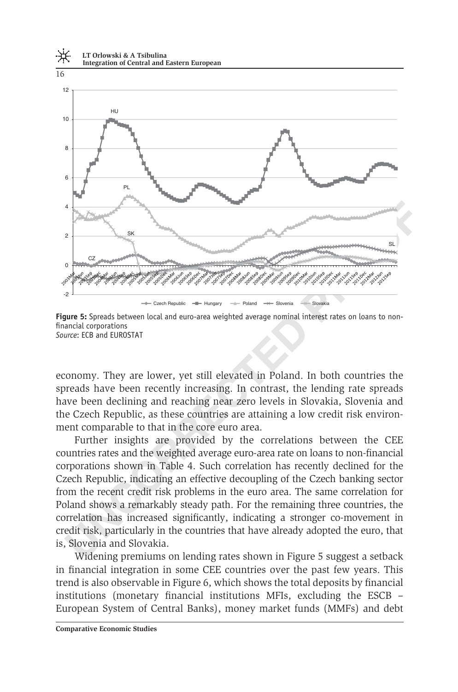<span id="page-16-0"></span>

Figure 5: Spreads between local and euro-area weighted average nominal interest rates on loans to nonfinancial corporations Source: ECB and EUROSTAT

economy. They are lower, yet still elevated in Poland. In both countries the spreads have been recently increasing. In contrast, the lending rate spreads have been declining and reaching near zero levels in Slovakia, Slovenia and the Czech Republic, as these countries are attaining a low credit risk environment comparable to that in the core euro area.

Further insights are provided by the correlations between the CEE countries rates and the weighted average euro-area rate on loans to non-financial corporations shown in Table 4. Such correlation has recently declined for the Czech Republic, indicating an effective decoupling of the Czech banking sector from the recent credit risk problems in the euro area. The same correlation for Poland shows a remarkably steady path. For the remaining three countries, the correlation has increased significantly, indicating a stronger co-movement in credit risk, particularly in the countries that have already adopted the euro, that is, Slovenia and Slovakia.

Widening premiums on lending rates shown in Figure 5 suggest a setback in financial integration in some CEE countries over the past few years. This trend is also observable in [Figure 6,](#page-17-0) which shows the total deposits by financial institutions (monetary financial institutions MFIs, excluding the ESCB – European System of Central Banks), money market funds (MMFs) and debt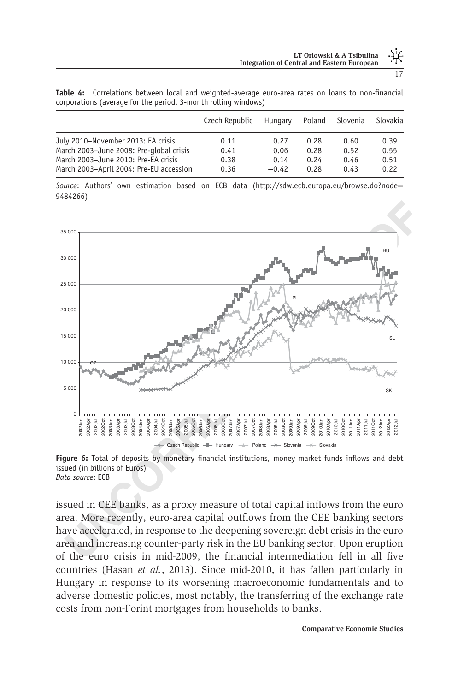<span id="page-17-0"></span>

|  |  | Table 4: Correlations between local and weighted-average euro-area rates on loans to non-financial |  |  |  |
|--|--|----------------------------------------------------------------------------------------------------|--|--|--|
|  |  | corporations (average for the period, 3-month rolling windows)                                     |  |  |  |

| 0.39 |
|------|
| 0.55 |
| 0.51 |
| 0.22 |
|      |

Source: Authors' own estimation based on ECB data (http://sdw.ecb.europa.eu/browse.do?node= 9484266)





issued in CEE banks, as a proxy measure of total capital inflows from the euro area. More recently, euro-area capital outflows from the CEE banking sectors have accelerated, in response to the deepening sovereign debt crisis in the euro area and increasing counter-party risk in the EU banking sector. Upon eruption of the euro crisis in mid-2009, the financial intermediation fell in all five countries (Hasan et al.[, 2013](#page-19-0)). Since mid-2010, it has fallen particularly in Hungary in response to its worsening macroeconomic fundamentals and to adverse domestic policies, most notably, the transferring of the exchange rate costs from non-Forint mortgages from households to banks.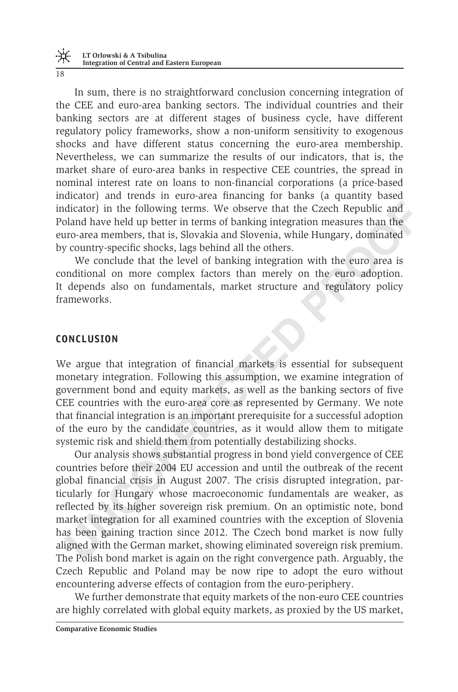In sum, there is no straightforward conclusion concerning integration of the CEE and euro-area banking sectors. The individual countries and their banking sectors are at different stages of business cycle, have different regulatory policy frameworks, show a non-uniform sensitivity to exogenous shocks and have different status concerning the euro-area membership. Nevertheless, we can summarize the results of our indicators, that is, the market share of euro-area banks in respective CEE countries, the spread in nominal interest rate on loans to non-financial corporations (a price-based indicator) and trends in euro-area financing for banks (a quantity based indicator) in the following terms. We observe that the Czech Republic and Poland have held up better in terms of banking integration measures than the euro-area members, that is, Slovakia and Slovenia, while Hungary, dominated by country-specific shocks, lags behind all the others.

We conclude that the level of banking integration with the euro area is conditional on more complex factors than merely on the euro adoption. It depends also on fundamentals, market structure and regulatory policy frameworks.

#### **CONCLUSION**

We argue that integration of financial markets is essential for subsequent monetary integration. Following this assumption, we examine integration of government bond and equity markets, as well as the banking sectors of five CEE countries with the euro-area core as represented by Germany. We note that financial integration is an important prerequisite for a successful adoption of the euro by the candidate countries, as it would allow them to mitigate systemic risk and shield them from potentially destabilizing shocks.

dicator) in the following terms. We observe that the Czech Republic and<br>not and balve held up better in terms of banking integration measures than the<br>uro-area members, that is, Slovakia and Slovenia, while Hungary, domina Our analysis shows substantial progress in bond yield convergence of CEE countries before their 2004 EU accession and until the outbreak of the recent global financial crisis in August 2007. The crisis disrupted integration, particularly for Hungary whose macroeconomic fundamentals are weaker, as reflected by its higher sovereign risk premium. On an optimistic note, bond market integration for all examined countries with the exception of Slovenia has been gaining traction since 2012. The Czech bond market is now fully aligned with the German market, showing eliminated sovereign risk premium. The Polish bond market is again on the right convergence path. Arguably, the Czech Republic and Poland may be now ripe to adopt the euro without encountering adverse effects of contagion from the euro-periphery.

We further demonstrate that equity markets of the non-euro CEE countries are highly correlated with global equity markets, as proxied by the US market,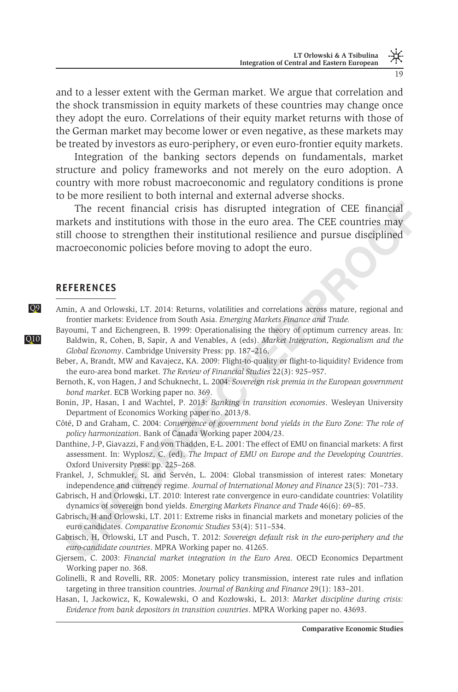<span id="page-19-0"></span>and to a lesser extent with the German market. We argue that correlation and the shock transmission in equity markets of these countries may change once they adopt the euro. Correlations of their equity market returns with those of the German market may become lower or even negative, as these markets may be treated by investors as euro-periphery, or even euro-frontier equity markets.

Integration of the banking sectors depends on fundamentals, market structure and policy frameworks and not merely on the euro adoption. A country with more robust macroeconomic and regulatory conditions is prone to be more resilient to both internal and external adverse shocks.

The recent financial crisis has disrupted integration of CEE financial<br>arkests and institutions with those in the euro area. The CEE countries may<br>arkests and institutional resultine can be euro area. The CEE countries ma The recent financial crisis has disrupted integration of CEE financial markets and institutions with those in the euro area. The CEE countries may still choose to strengthen their institutional resilience and pursue disciplined macroeconomic policies before moving to adopt the euro.

#### **REFERENCES**

- Q9 Amin, A and Orlowski, LT. 2014: Returns, volatilities and correlations across mature, regional and frontier markets: Evidence from South Asia. Emerging Markets Finance and Trade.
- Bayoumi, T and Eichengreen, B. 1999: Operationalising the theory of optimum currency areas. In: Q10 Baldwin, R, Cohen, B, Sapir, A and Venables, A (eds). Market Integration, Regionalism and the Global Economy. Cambridge University Press: pp. 187–216.
	- Beber, A, Brandt, MW and Kavajecz, KA. 2009: Flight-to-quality or flight-to-liquidity? Evidence from the euro-area bond market. The Review of Financial Studies 22(3): 925–957.
	- Bernoth, K, von Hagen, J and Schuknecht, L. 2004: Sovereign risk premia in the European government bond market. ECB Working paper no. 369.
	- Bonin, JP, Hasan, I and Wachtel, P. 2013: Banking in transition economies. Wesleyan University Department of Economics Working paper no. 2013/8.

Côté, D and Graham, C. 2004: Convergence of government bond yields in the Euro Zone: The role of policy harmonization. Bank of Canada Working paper 2004/23.

- Danthine, J-P, Giavazzi, F and von Thadden, E-L. 2001: The effect of EMU on financial markets: A first assessment. In: Wyplosz, C. (ed). The Impact of EMU on Europe and the Developing Countries. Oxford University Press: pp. 225–268.
- Frankel, J, Schmukler, SL and Servén, L. 2004: Global transmission of interest rates: Monetary independence and currency regime. Journal of International Money and Finance 23(5): 701–733.
- Gabrisch, H and Orlowski, LT. 2010: Interest rate convergence in euro-candidate countries: Volatility dynamics of sovereign bond yields. Emerging Markets Finance and Trade 46(6): 69–85.
- Gabrisch, H and Orlowski, LT. 2011: Extreme risks in financial markets and monetary policies of the euro candidates. Comparative Economic Studies 53(4): 511–534.
- Gabrisch, H, Orlowski, LT and Pusch, T. 2012: Sovereign default risk in the euro-periphery and the euro-candidate countries. MPRA Working paper no. 41265.
- Gjersem, C. 2003: Financial market integration in the Euro Area. OECD Economics Department Working paper no. 368.
- Golinelli, R and Rovelli, RR. 2005: Monetary policy transmission, interest rate rules and inflation targeting in three transition countries. Journal of Banking and Finance 29(1): 183–201.
- Hasan, I, Jackowicz, K, Kowalewski, O and Kozłowski, Ł. 2013: Market discipline during crisis: Evidence from bank depositors in transition countries. MPRA Working paper no. 43693.

Comparative Economic Studies